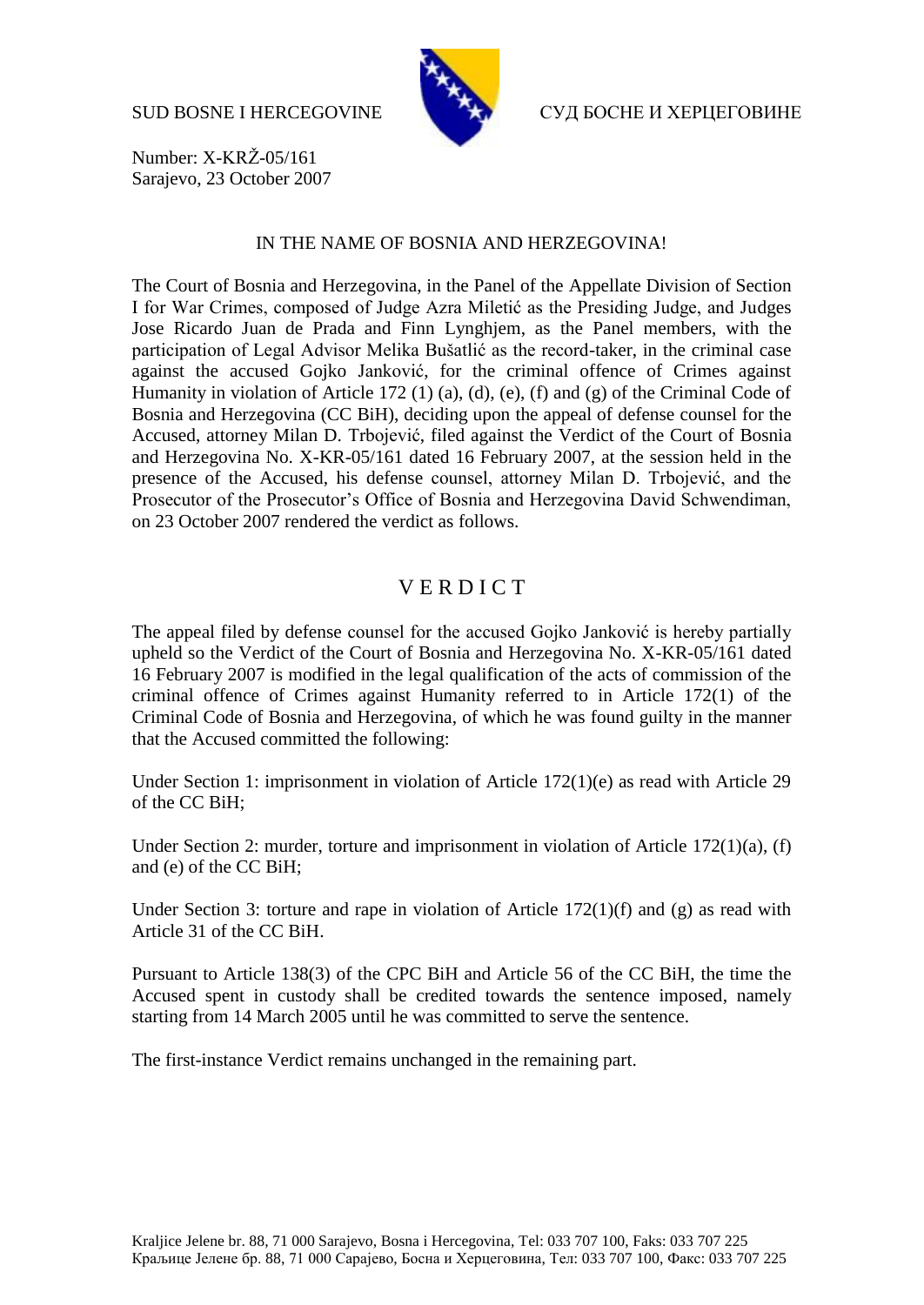

SUD BOSNE I HERCEGOVINE СУД БОСНЕ И ХЕРЦЕГОВИНЕ

Number: X-KRŽ-05/161 Sarajevo, 23 October 2007

## IN THE NAME OF BOSNIA AND HERZEGOVINA!

The Court of Bosnia and Herzegovina, in the Panel of the Appellate Division of Section I for War Crimes, composed of Judge Azra Miletić as the Presiding Judge, and Judges Jose Ricardo Juan de Prada and Finn Lynghjem, as the Panel members, with the participation of Legal Advisor Melika Bušatlić as the record-taker, in the criminal case against the accused Gojko Janković, for the criminal offence of Crimes against Humanity in violation of Article 172 (1) (a), (d), (e), (f) and (g) of the Criminal Code of Bosnia and Herzegovina (CC BiH), deciding upon the appeal of defense counsel for the Accused, attorney Milan D. Trbojević, filed against the Verdict of the Court of Bosnia and Herzegovina No. X-KR-05/161 dated 16 February 2007, at the session held in the presence of the Accused, his defense counsel, attorney Milan D. Trbojević, and the Prosecutor of the Prosecutor's Office of Bosnia and Herzegovina David Schwendiman, on 23 October 2007 rendered the verdict as follows.

## V E R D I C T

The appeal filed by defense counsel for the accused Gojko Janković is hereby partially upheld so the Verdict of the Court of Bosnia and Herzegovina No. X-KR-05/161 dated 16 February 2007 is modified in the legal qualification of the acts of commission of the criminal offence of Crimes against Humanity referred to in Article 172(1) of the Criminal Code of Bosnia and Herzegovina, of which he was found guilty in the manner that the Accused committed the following:

Under Section 1: imprisonment in violation of Article 172(1)(e) as read with Article 29 of the CC BiH;

Under Section 2: murder, torture and imprisonment in violation of Article 172(1)(a), (f) and (e) of the CC BiH;

Under Section 3: torture and rape in violation of Article  $172(1)(f)$  and (g) as read with Article 31 of the CC BiH.

Pursuant to Article 138(3) of the CPC BiH and Article 56 of the CC BiH, the time the Accused spent in custody shall be credited towards the sentence imposed, namely starting from 14 March 2005 until he was committed to serve the sentence.

The first-instance Verdict remains unchanged in the remaining part.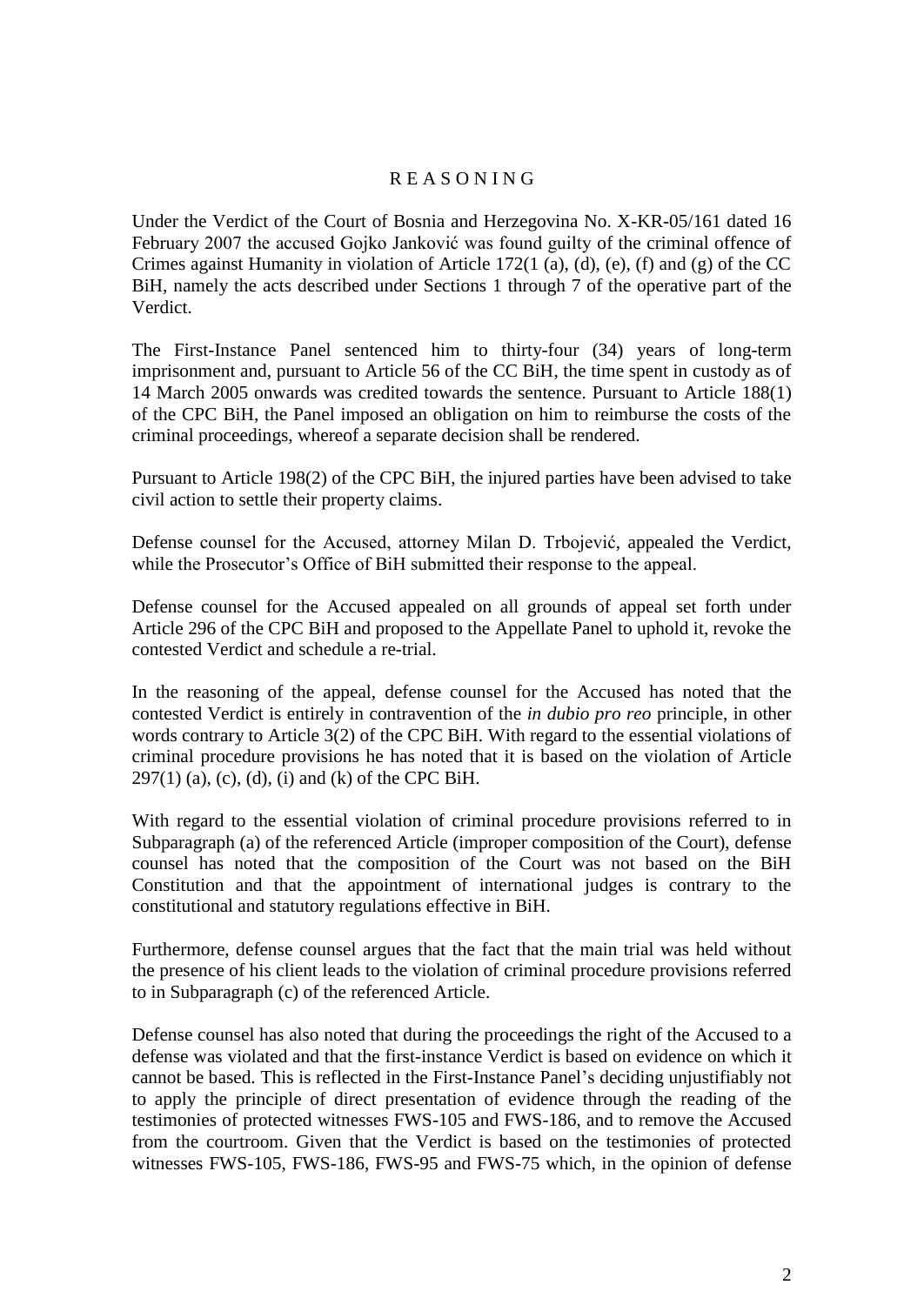## R E A S O N I N G

Under the Verdict of the Court of Bosnia and Herzegovina No. X-KR-05/161 dated 16 February 2007 the accused Gojko Janković was found guilty of the criminal offence of Crimes against Humanity in violation of Article 172(1 (a), (d), (e), (f) and (g) of the CC BiH, namely the acts described under Sections 1 through 7 of the operative part of the Verdict.

The First-Instance Panel sentenced him to thirty-four (34) years of long-term imprisonment and, pursuant to Article 56 of the CC BiH, the time spent in custody as of 14 March 2005 onwards was credited towards the sentence. Pursuant to Article 188(1) of the CPC BiH, the Panel imposed an obligation on him to reimburse the costs of the criminal proceedings, whereof a separate decision shall be rendered.

Pursuant to Article 198(2) of the CPC BiH, the injured parties have been advised to take civil action to settle their property claims.

Defense counsel for the Accused, attorney Milan D. Trbojević, appealed the Verdict, while the Prosecutor's Office of BiH submitted their response to the appeal.

Defense counsel for the Accused appealed on all grounds of appeal set forth under Article 296 of the CPC BiH and proposed to the Appellate Panel to uphold it, revoke the contested Verdict and schedule a re-trial.

In the reasoning of the appeal, defense counsel for the Accused has noted that the contested Verdict is entirely in contravention of the *in dubio pro reo* principle, in other words contrary to Article 3(2) of the CPC BiH. With regard to the essential violations of criminal procedure provisions he has noted that it is based on the violation of Article  $297(1)$  (a), (c), (d), (i) and (k) of the CPC BiH.

With regard to the essential violation of criminal procedure provisions referred to in Subparagraph (a) of the referenced Article (improper composition of the Court), defense counsel has noted that the composition of the Court was not based on the BiH Constitution and that the appointment of international judges is contrary to the constitutional and statutory regulations effective in BiH.

Furthermore, defense counsel argues that the fact that the main trial was held without the presence of his client leads to the violation of criminal procedure provisions referred to in Subparagraph (c) of the referenced Article.

Defense counsel has also noted that during the proceedings the right of the Accused to a defense was violated and that the first-instance Verdict is based on evidence on which it cannot be based. This is reflected in the First-Instance Panel's deciding unjustifiably not to apply the principle of direct presentation of evidence through the reading of the testimonies of protected witnesses FWS-105 and FWS-186, and to remove the Accused from the courtroom. Given that the Verdict is based on the testimonies of protected witnesses FWS-105, FWS-186, FWS-95 and FWS-75 which, in the opinion of defense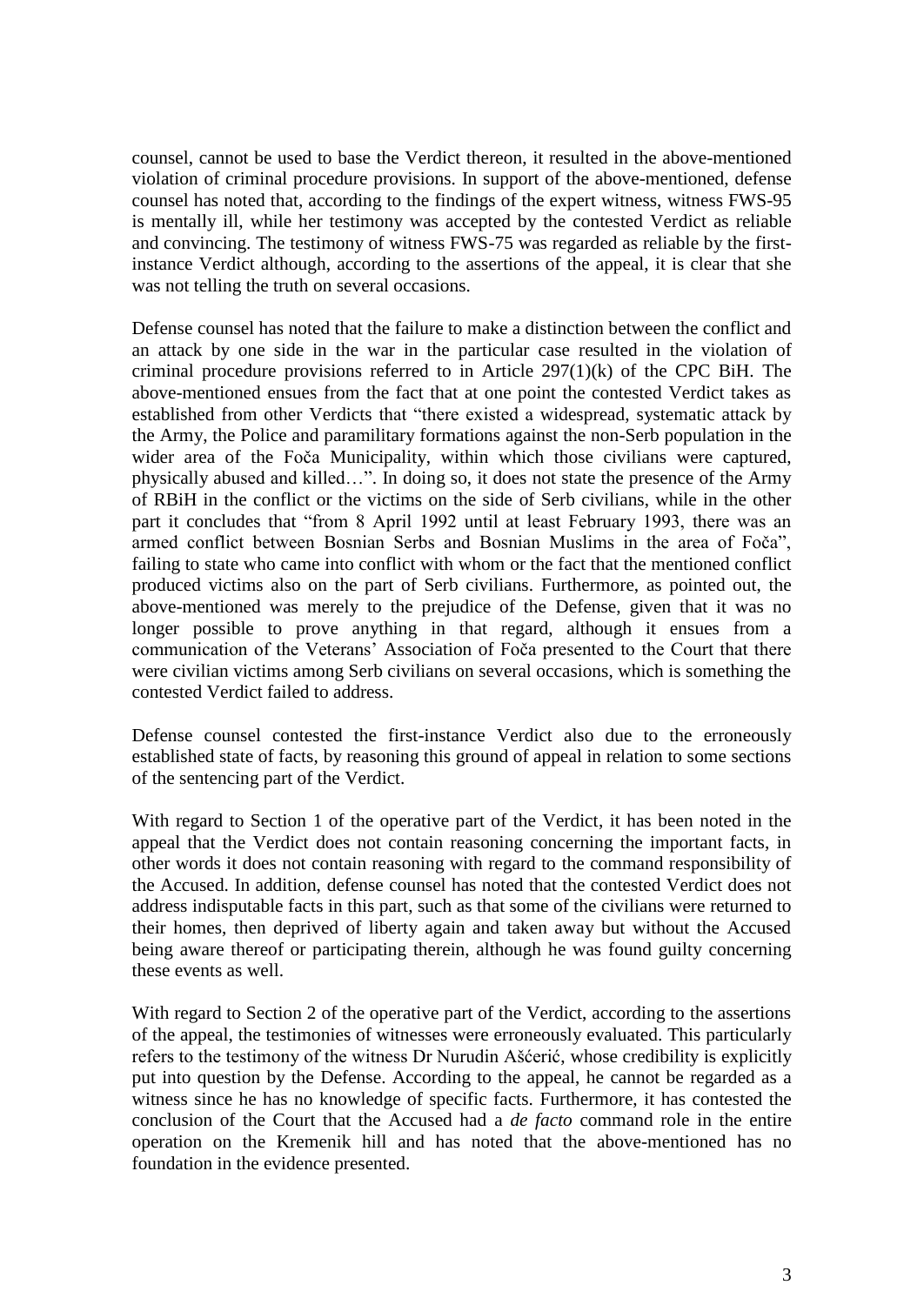counsel, cannot be used to base the Verdict thereon, it resulted in the above-mentioned violation of criminal procedure provisions. In support of the above-mentioned, defense counsel has noted that, according to the findings of the expert witness, witness FWS-95 is mentally ill, while her testimony was accepted by the contested Verdict as reliable and convincing. The testimony of witness FWS-75 was regarded as reliable by the firstinstance Verdict although, according to the assertions of the appeal, it is clear that she was not telling the truth on several occasions.

Defense counsel has noted that the failure to make a distinction between the conflict and an attack by one side in the war in the particular case resulted in the violation of criminal procedure provisions referred to in Article 297(1)(k) of the CPC BiH. The above-mentioned ensues from the fact that at one point the contested Verdict takes as established from other Verdicts that "there existed a widespread, systematic attack by the Army, the Police and paramilitary formations against the non-Serb population in the wider area of the Foča Municipality, within which those civilians were captured, physically abused and killed…". In doing so, it does not state the presence of the Army of RBiH in the conflict or the victims on the side of Serb civilians, while in the other part it concludes that "from 8 April 1992 until at least February 1993, there was an armed conflict between Bosnian Serbs and Bosnian Muslims in the area of Foča", failing to state who came into conflict with whom or the fact that the mentioned conflict produced victims also on the part of Serb civilians. Furthermore, as pointed out, the above-mentioned was merely to the prejudice of the Defense, given that it was no longer possible to prove anything in that regard, although it ensues from a communication of the Veterans' Association of Foča presented to the Court that there were civilian victims among Serb civilians on several occasions, which is something the contested Verdict failed to address.

Defense counsel contested the first-instance Verdict also due to the erroneously established state of facts, by reasoning this ground of appeal in relation to some sections of the sentencing part of the Verdict.

With regard to Section 1 of the operative part of the Verdict, it has been noted in the appeal that the Verdict does not contain reasoning concerning the important facts, in other words it does not contain reasoning with regard to the command responsibility of the Accused. In addition, defense counsel has noted that the contested Verdict does not address indisputable facts in this part, such as that some of the civilians were returned to their homes, then deprived of liberty again and taken away but without the Accused being aware thereof or participating therein, although he was found guilty concerning these events as well.

With regard to Section 2 of the operative part of the Verdict, according to the assertions of the appeal, the testimonies of witnesses were erroneously evaluated. This particularly refers to the testimony of the witness Dr Nurudin Ašćerić, whose credibility is explicitly put into question by the Defense. According to the appeal, he cannot be regarded as a witness since he has no knowledge of specific facts. Furthermore, it has contested the conclusion of the Court that the Accused had a *de facto* command role in the entire operation on the Kremenik hill and has noted that the above-mentioned has no foundation in the evidence presented.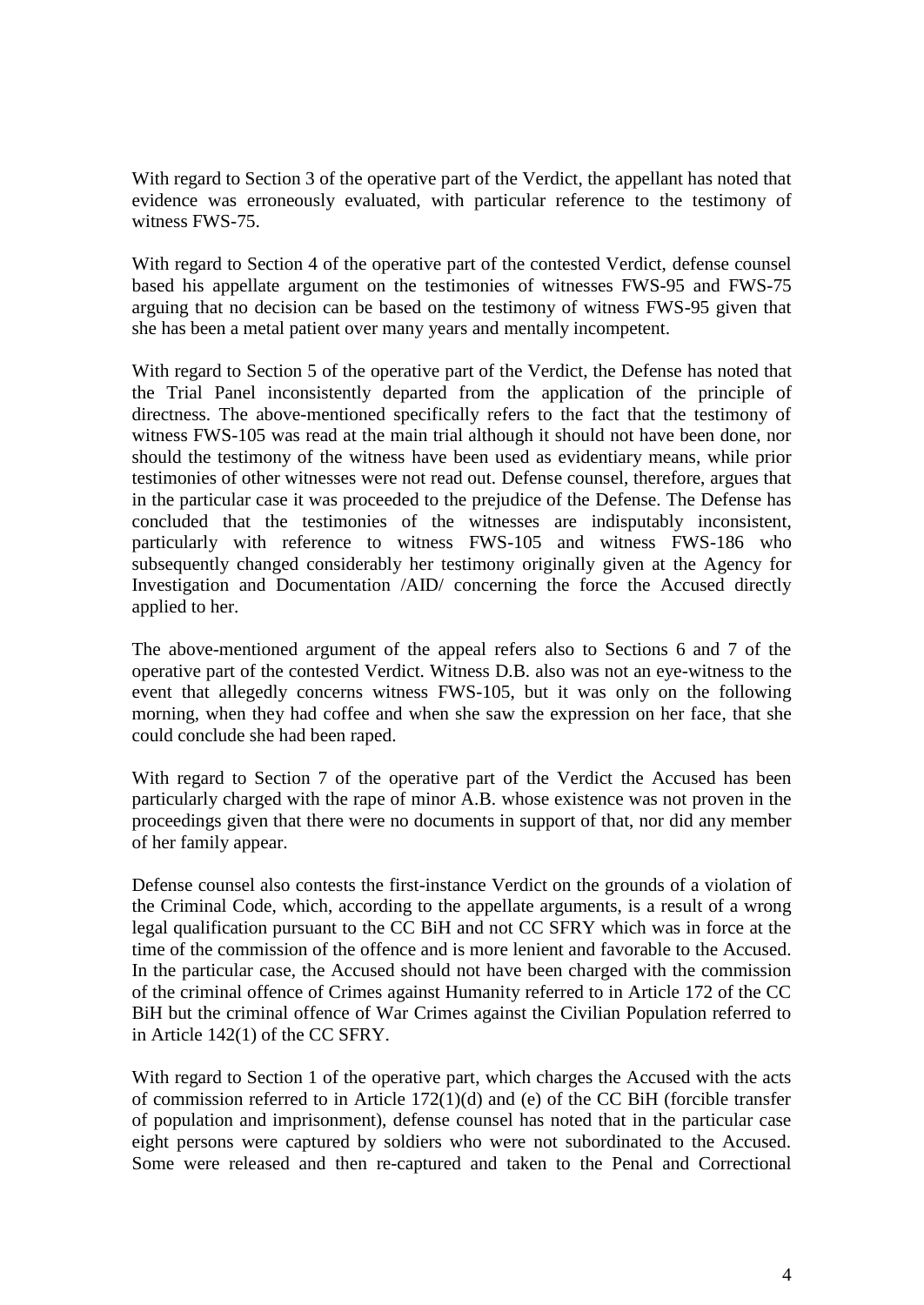With regard to Section 3 of the operative part of the Verdict, the appellant has noted that evidence was erroneously evaluated, with particular reference to the testimony of witness FWS-75.

With regard to Section 4 of the operative part of the contested Verdict, defense counsel based his appellate argument on the testimonies of witnesses FWS-95 and FWS-75 arguing that no decision can be based on the testimony of witness FWS-95 given that she has been a metal patient over many years and mentally incompetent.

With regard to Section 5 of the operative part of the Verdict, the Defense has noted that the Trial Panel inconsistently departed from the application of the principle of directness. The above-mentioned specifically refers to the fact that the testimony of witness FWS-105 was read at the main trial although it should not have been done, nor should the testimony of the witness have been used as evidentiary means, while prior testimonies of other witnesses were not read out. Defense counsel, therefore, argues that in the particular case it was proceeded to the prejudice of the Defense. The Defense has concluded that the testimonies of the witnesses are indisputably inconsistent, particularly with reference to witness FWS-105 and witness FWS-186 who subsequently changed considerably her testimony originally given at the Agency for Investigation and Documentation /AID/ concerning the force the Accused directly applied to her.

The above-mentioned argument of the appeal refers also to Sections 6 and 7 of the operative part of the contested Verdict. Witness D.B. also was not an eye-witness to the event that allegedly concerns witness FWS-105, but it was only on the following morning, when they had coffee and when she saw the expression on her face, that she could conclude she had been raped.

With regard to Section 7 of the operative part of the Verdict the Accused has been particularly charged with the rape of minor A.B. whose existence was not proven in the proceedings given that there were no documents in support of that, nor did any member of her family appear.

Defense counsel also contests the first-instance Verdict on the grounds of a violation of the Criminal Code, which, according to the appellate arguments, is a result of a wrong legal qualification pursuant to the CC BiH and not CC SFRY which was in force at the time of the commission of the offence and is more lenient and favorable to the Accused. In the particular case, the Accused should not have been charged with the commission of the criminal offence of Crimes against Humanity referred to in Article 172 of the CC BiH but the criminal offence of War Crimes against the Civilian Population referred to in Article 142(1) of the CC SFRY.

With regard to Section 1 of the operative part, which charges the Accused with the acts of commission referred to in Article 172(1)(d) and (e) of the CC BiH (forcible transfer of population and imprisonment), defense counsel has noted that in the particular case eight persons were captured by soldiers who were not subordinated to the Accused. Some were released and then re-captured and taken to the Penal and Correctional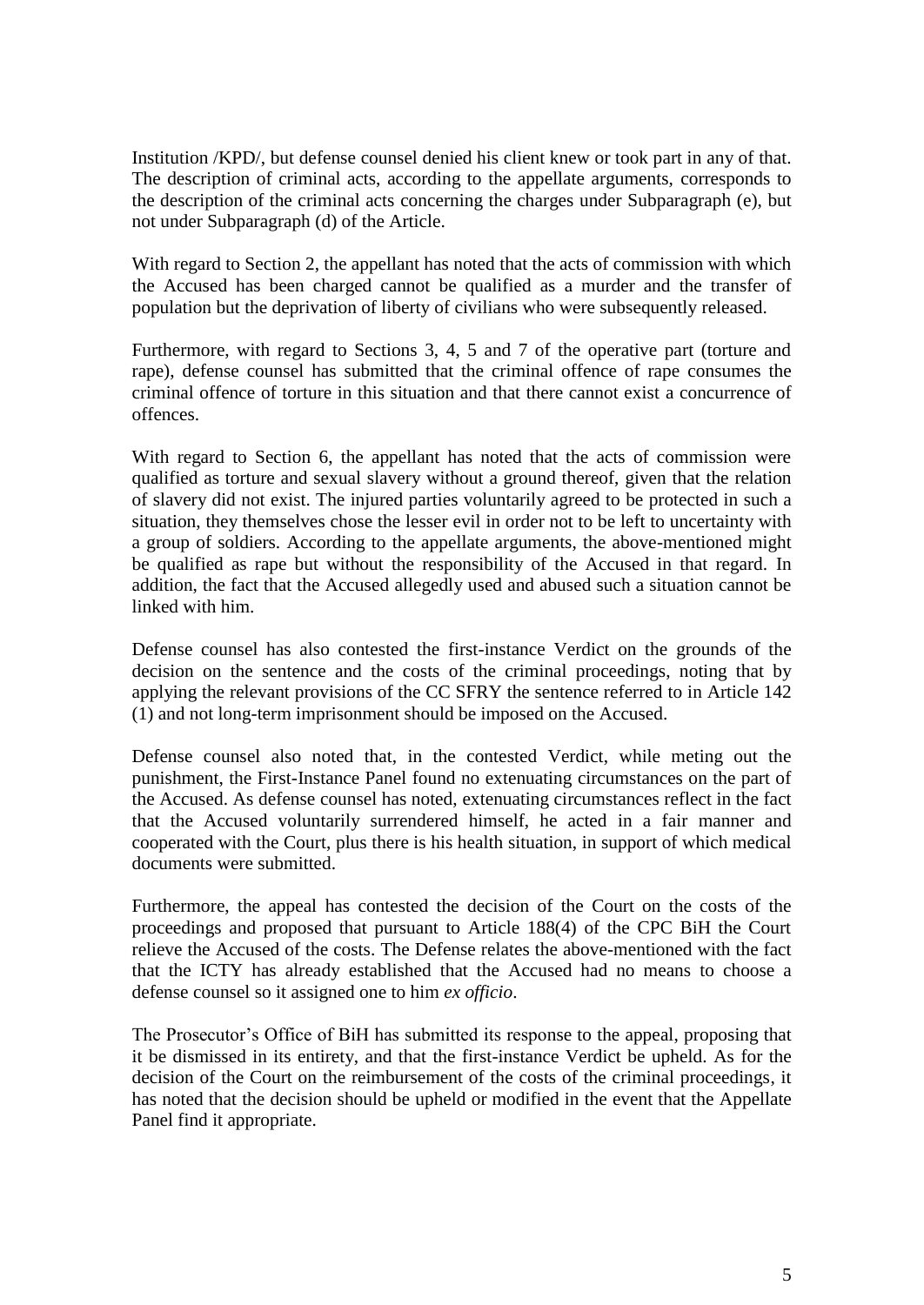Institution /KPD/, but defense counsel denied his client knew or took part in any of that. The description of criminal acts, according to the appellate arguments, corresponds to the description of the criminal acts concerning the charges under Subparagraph (e), but not under Subparagraph (d) of the Article.

With regard to Section 2, the appellant has noted that the acts of commission with which the Accused has been charged cannot be qualified as a murder and the transfer of population but the deprivation of liberty of civilians who were subsequently released.

Furthermore, with regard to Sections 3, 4, 5 and 7 of the operative part (torture and rape), defense counsel has submitted that the criminal offence of rape consumes the criminal offence of torture in this situation and that there cannot exist a concurrence of offences.

With regard to Section 6, the appellant has noted that the acts of commission were qualified as torture and sexual slavery without a ground thereof, given that the relation of slavery did not exist. The injured parties voluntarily agreed to be protected in such a situation, they themselves chose the lesser evil in order not to be left to uncertainty with a group of soldiers. According to the appellate arguments, the above-mentioned might be qualified as rape but without the responsibility of the Accused in that regard. In addition, the fact that the Accused allegedly used and abused such a situation cannot be linked with him.

Defense counsel has also contested the first-instance Verdict on the grounds of the decision on the sentence and the costs of the criminal proceedings, noting that by applying the relevant provisions of the CC SFRY the sentence referred to in Article 142 (1) and not long-term imprisonment should be imposed on the Accused.

Defense counsel also noted that, in the contested Verdict, while meting out the punishment, the First-Instance Panel found no extenuating circumstances on the part of the Accused. As defense counsel has noted, extenuating circumstances reflect in the fact that the Accused voluntarily surrendered himself, he acted in a fair manner and cooperated with the Court, plus there is his health situation, in support of which medical documents were submitted.

Furthermore, the appeal has contested the decision of the Court on the costs of the proceedings and proposed that pursuant to Article 188(4) of the CPC BiH the Court relieve the Accused of the costs. The Defense relates the above-mentioned with the fact that the ICTY has already established that the Accused had no means to choose a defense counsel so it assigned one to him *ex officio*.

The Prosecutor's Office of BiH has submitted its response to the appeal, proposing that it be dismissed in its entirety, and that the first-instance Verdict be upheld. As for the decision of the Court on the reimbursement of the costs of the criminal proceedings, it has noted that the decision should be upheld or modified in the event that the Appellate Panel find it appropriate.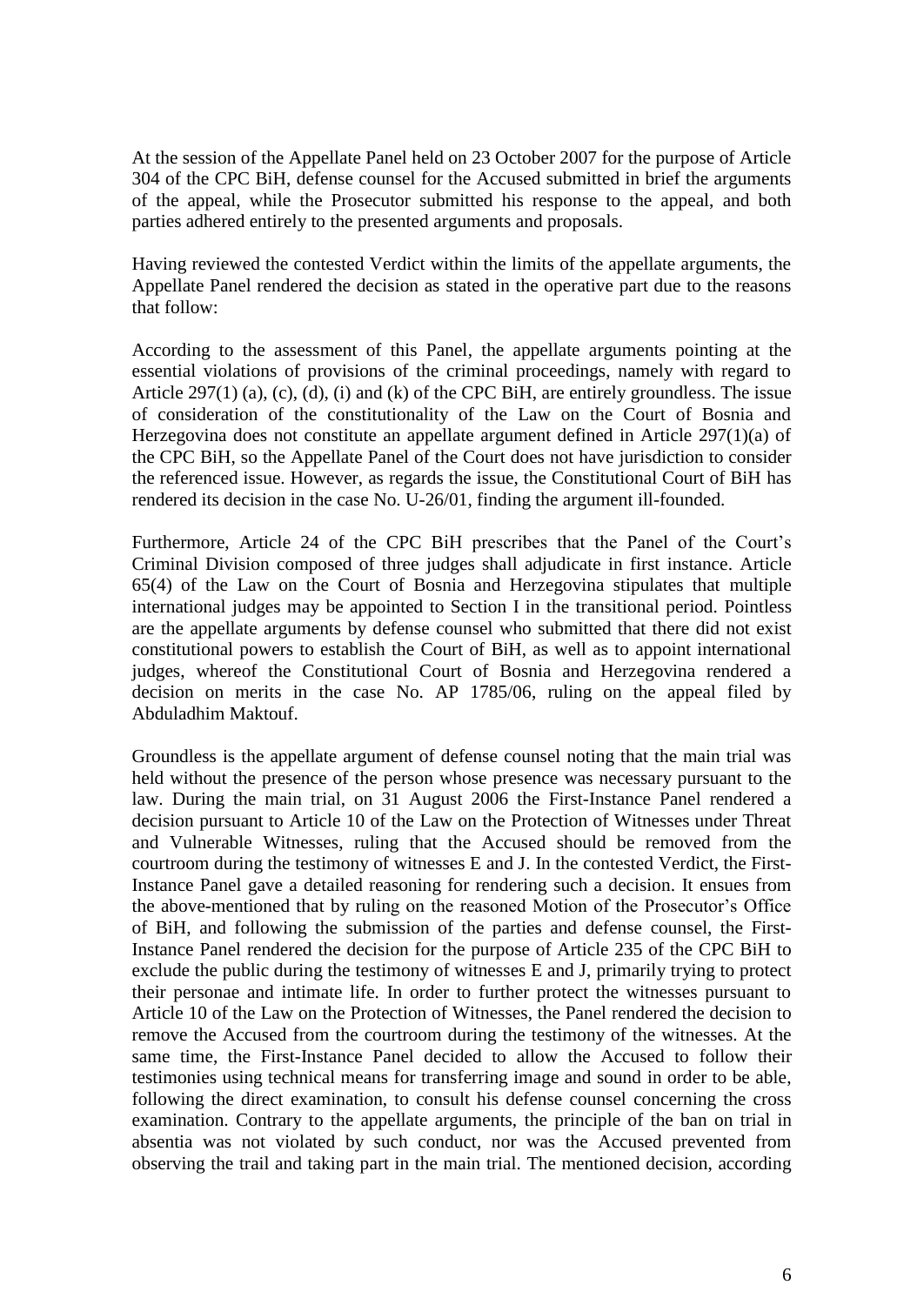At the session of the Appellate Panel held on 23 October 2007 for the purpose of Article 304 of the CPC BiH, defense counsel for the Accused submitted in brief the arguments of the appeal, while the Prosecutor submitted his response to the appeal, and both parties adhered entirely to the presented arguments and proposals.

Having reviewed the contested Verdict within the limits of the appellate arguments, the Appellate Panel rendered the decision as stated in the operative part due to the reasons that follow:

According to the assessment of this Panel, the appellate arguments pointing at the essential violations of provisions of the criminal proceedings, namely with regard to Article 297(1) (a), (c), (d), (i) and (k) of the CPC BiH, are entirely groundless. The issue of consideration of the constitutionality of the Law on the Court of Bosnia and Herzegovina does not constitute an appellate argument defined in Article 297(1)(a) of the CPC BiH, so the Appellate Panel of the Court does not have jurisdiction to consider the referenced issue. However, as regards the issue, the Constitutional Court of BiH has rendered its decision in the case No. U-26/01, finding the argument ill-founded.

Furthermore, Article 24 of the CPC BiH prescribes that the Panel of the Court's Criminal Division composed of three judges shall adjudicate in first instance. Article 65(4) of the Law on the Court of Bosnia and Herzegovina stipulates that multiple international judges may be appointed to Section I in the transitional period. Pointless are the appellate arguments by defense counsel who submitted that there did not exist constitutional powers to establish the Court of BiH, as well as to appoint international judges, whereof the Constitutional Court of Bosnia and Herzegovina rendered a decision on merits in the case No. AP 1785/06, ruling on the appeal filed by Abduladhim Maktouf.

Groundless is the appellate argument of defense counsel noting that the main trial was held without the presence of the person whose presence was necessary pursuant to the law. During the main trial, on 31 August 2006 the First-Instance Panel rendered a decision pursuant to Article 10 of the Law on the Protection of Witnesses under Threat and Vulnerable Witnesses, ruling that the Accused should be removed from the courtroom during the testimony of witnesses E and J. In the contested Verdict, the First-Instance Panel gave a detailed reasoning for rendering such a decision. It ensues from the above-mentioned that by ruling on the reasoned Motion of the Prosecutor's Office of BiH, and following the submission of the parties and defense counsel, the First-Instance Panel rendered the decision for the purpose of Article 235 of the CPC BiH to exclude the public during the testimony of witnesses E and J, primarily trying to protect their personae and intimate life. In order to further protect the witnesses pursuant to Article 10 of the Law on the Protection of Witnesses, the Panel rendered the decision to remove the Accused from the courtroom during the testimony of the witnesses. At the same time, the First-Instance Panel decided to allow the Accused to follow their testimonies using technical means for transferring image and sound in order to be able, following the direct examination, to consult his defense counsel concerning the cross examination. Contrary to the appellate arguments, the principle of the ban on trial in absentia was not violated by such conduct, nor was the Accused prevented from observing the trail and taking part in the main trial. The mentioned decision, according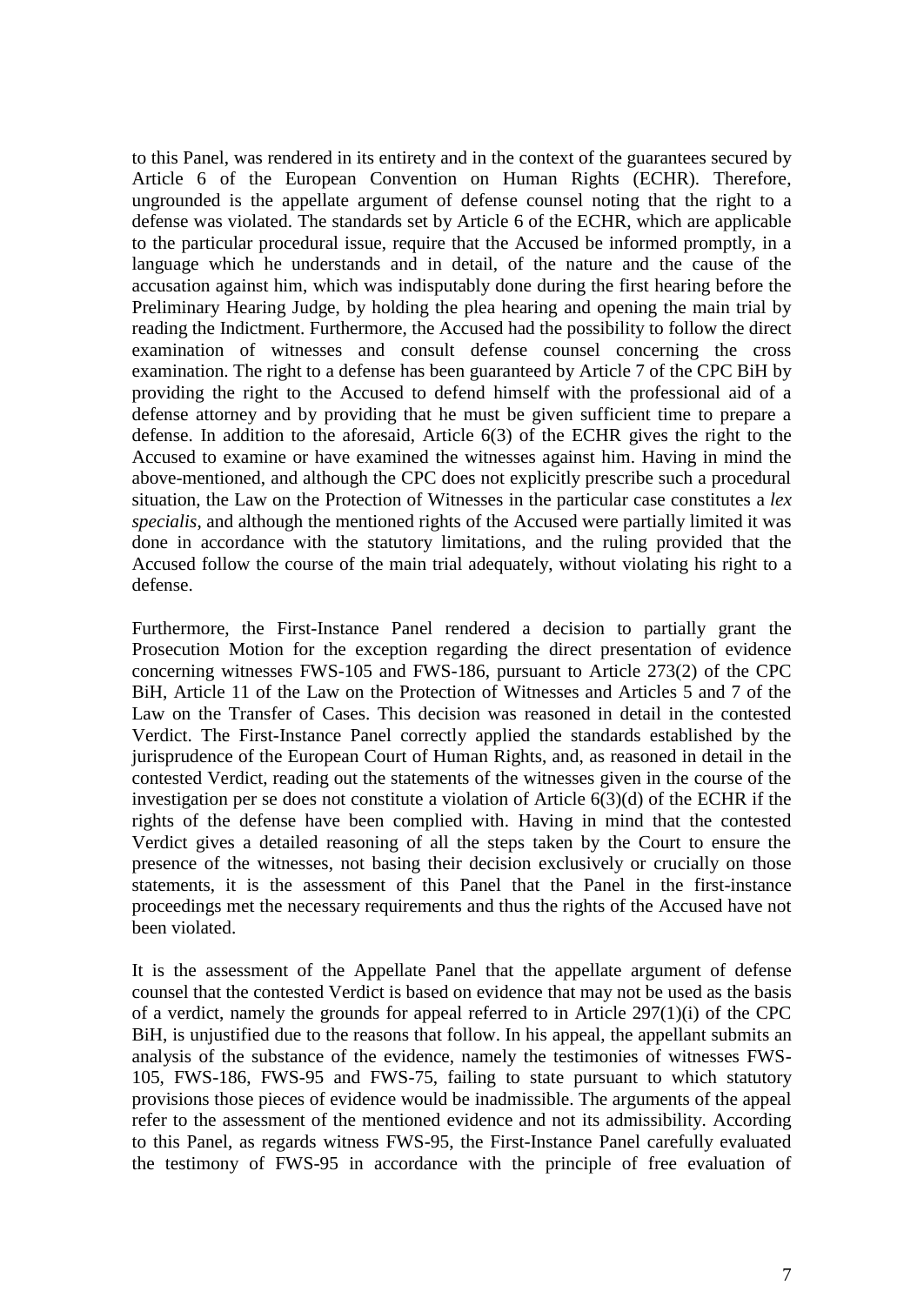to this Panel, was rendered in its entirety and in the context of the guarantees secured by Article 6 of the European Convention on Human Rights (ECHR). Therefore, ungrounded is the appellate argument of defense counsel noting that the right to a defense was violated. The standards set by Article 6 of the ECHR, which are applicable to the particular procedural issue, require that the Accused be informed promptly, in a language which he understands and in detail, of the nature and the cause of the accusation against him, which was indisputably done during the first hearing before the Preliminary Hearing Judge, by holding the plea hearing and opening the main trial by reading the Indictment. Furthermore, the Accused had the possibility to follow the direct examination of witnesses and consult defense counsel concerning the cross examination. The right to a defense has been guaranteed by Article 7 of the CPC BiH by providing the right to the Accused to defend himself with the professional aid of a defense attorney and by providing that he must be given sufficient time to prepare a defense. In addition to the aforesaid, Article 6(3) of the ECHR gives the right to the Accused to examine or have examined the witnesses against him. Having in mind the above-mentioned, and although the CPC does not explicitly prescribe such a procedural situation, the Law on the Protection of Witnesses in the particular case constitutes a *lex specialis*, and although the mentioned rights of the Accused were partially limited it was done in accordance with the statutory limitations, and the ruling provided that the Accused follow the course of the main trial adequately, without violating his right to a defense.

Furthermore, the First-Instance Panel rendered a decision to partially grant the Prosecution Motion for the exception regarding the direct presentation of evidence concerning witnesses FWS-105 and FWS-186, pursuant to Article 273(2) of the CPC BiH, Article 11 of the Law on the Protection of Witnesses and Articles 5 and 7 of the Law on the Transfer of Cases. This decision was reasoned in detail in the contested Verdict. The First-Instance Panel correctly applied the standards established by the jurisprudence of the European Court of Human Rights, and, as reasoned in detail in the contested Verdict, reading out the statements of the witnesses given in the course of the investigation per se does not constitute a violation of Article 6(3)(d) of the ECHR if the rights of the defense have been complied with. Having in mind that the contested Verdict gives a detailed reasoning of all the steps taken by the Court to ensure the presence of the witnesses, not basing their decision exclusively or crucially on those statements, it is the assessment of this Panel that the Panel in the first-instance proceedings met the necessary requirements and thus the rights of the Accused have not been violated.

It is the assessment of the Appellate Panel that the appellate argument of defense counsel that the contested Verdict is based on evidence that may not be used as the basis of a verdict, namely the grounds for appeal referred to in Article 297(1)(i) of the CPC BiH, is unjustified due to the reasons that follow. In his appeal, the appellant submits an analysis of the substance of the evidence, namely the testimonies of witnesses FWS-105, FWS-186, FWS-95 and FWS-75, failing to state pursuant to which statutory provisions those pieces of evidence would be inadmissible. The arguments of the appeal refer to the assessment of the mentioned evidence and not its admissibility. According to this Panel, as regards witness FWS-95, the First-Instance Panel carefully evaluated the testimony of FWS-95 in accordance with the principle of free evaluation of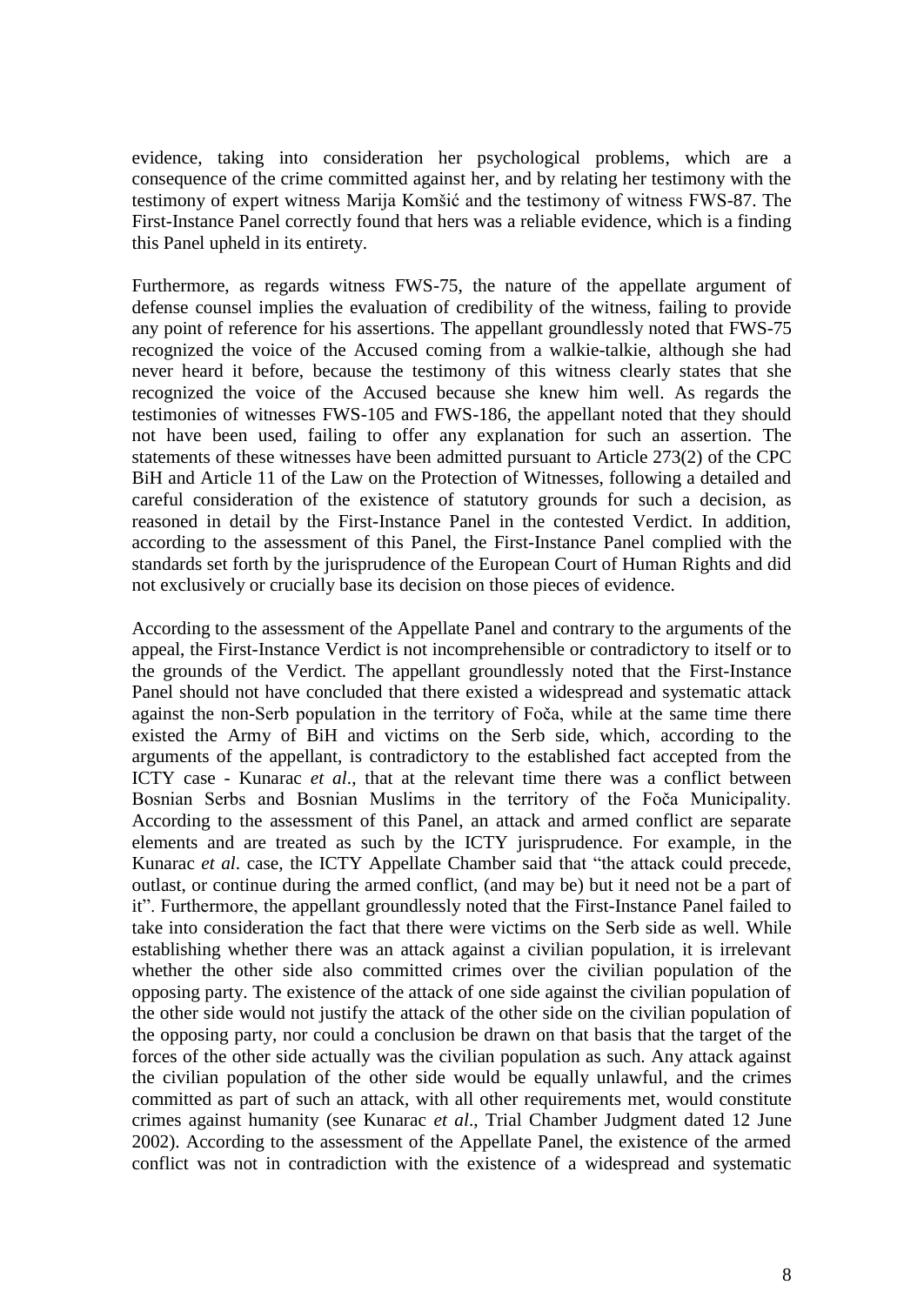evidence, taking into consideration her psychological problems, which are a consequence of the crime committed against her, and by relating her testimony with the testimony of expert witness Marija Komšić and the testimony of witness FWS-87. The First-Instance Panel correctly found that hers was a reliable evidence, which is a finding this Panel upheld in its entirety.

Furthermore, as regards witness FWS-75, the nature of the appellate argument of defense counsel implies the evaluation of credibility of the witness, failing to provide any point of reference for his assertions. The appellant groundlessly noted that FWS-75 recognized the voice of the Accused coming from a walkie-talkie, although she had never heard it before, because the testimony of this witness clearly states that she recognized the voice of the Accused because she knew him well. As regards the testimonies of witnesses FWS-105 and FWS-186, the appellant noted that they should not have been used, failing to offer any explanation for such an assertion. The statements of these witnesses have been admitted pursuant to Article 273(2) of the CPC BiH and Article 11 of the Law on the Protection of Witnesses, following a detailed and careful consideration of the existence of statutory grounds for such a decision, as reasoned in detail by the First-Instance Panel in the contested Verdict. In addition, according to the assessment of this Panel, the First-Instance Panel complied with the standards set forth by the jurisprudence of the European Court of Human Rights and did not exclusively or crucially base its decision on those pieces of evidence.

According to the assessment of the Appellate Panel and contrary to the arguments of the appeal, the First-Instance Verdict is not incomprehensible or contradictory to itself or to the grounds of the Verdict. The appellant groundlessly noted that the First-Instance Panel should not have concluded that there existed a widespread and systematic attack against the non-Serb population in the territory of Foča, while at the same time there existed the Army of BiH and victims on the Serb side, which, according to the arguments of the appellant, is contradictory to the established fact accepted from the ICTY case - Kunarac *et al*., that at the relevant time there was a conflict between Bosnian Serbs and Bosnian Muslims in the territory of the Foča Municipality. According to the assessment of this Panel, an attack and armed conflict are separate elements and are treated as such by the ICTY jurisprudence. For example, in the Kunarac *et al*. case, the ICTY Appellate Chamber said that "the attack could precede, outlast, or continue during the armed conflict, (and may be) but it need not be a part of it". Furthermore, the appellant groundlessly noted that the First-Instance Panel failed to take into consideration the fact that there were victims on the Serb side as well. While establishing whether there was an attack against a civilian population, it is irrelevant whether the other side also committed crimes over the civilian population of the opposing party. The existence of the attack of one side against the civilian population of the other side would not justify the attack of the other side on the civilian population of the opposing party, nor could a conclusion be drawn on that basis that the target of the forces of the other side actually was the civilian population as such. Any attack against the civilian population of the other side would be equally unlawful, and the crimes committed as part of such an attack, with all other requirements met, would constitute crimes against humanity (see Kunarac *et al*., Trial Chamber Judgment dated 12 June 2002). According to the assessment of the Appellate Panel, the existence of the armed conflict was not in contradiction with the existence of a widespread and systematic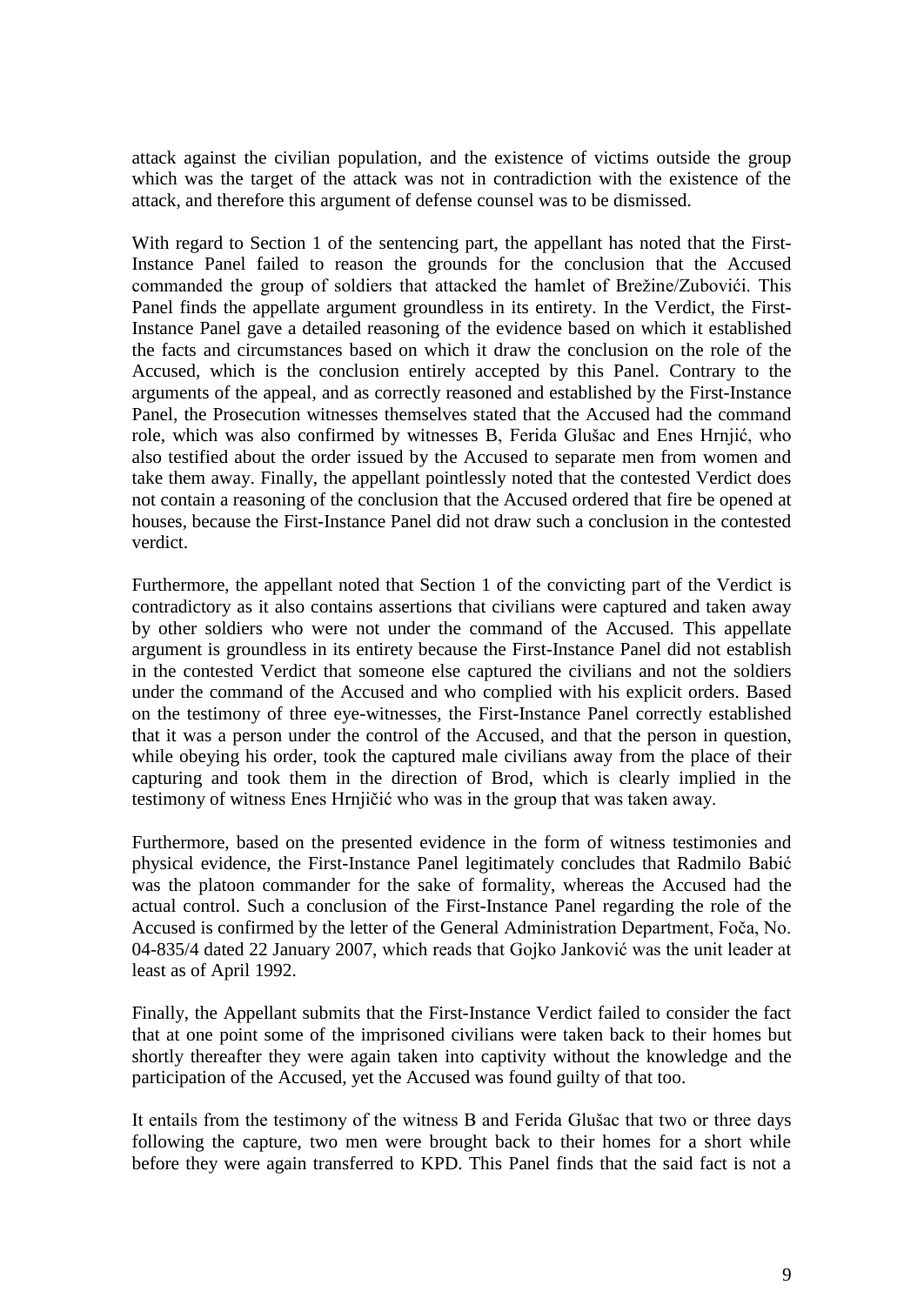attack against the civilian population, and the existence of victims outside the group which was the target of the attack was not in contradiction with the existence of the attack, and therefore this argument of defense counsel was to be dismissed.

With regard to Section 1 of the sentencing part, the appellant has noted that the First-Instance Panel failed to reason the grounds for the conclusion that the Accused commanded the group of soldiers that attacked the hamlet of Brežine/Zubovići. This Panel finds the appellate argument groundless in its entirety. In the Verdict, the First-Instance Panel gave a detailed reasoning of the evidence based on which it established the facts and circumstances based on which it draw the conclusion on the role of the Accused, which is the conclusion entirely accepted by this Panel. Contrary to the arguments of the appeal, and as correctly reasoned and established by the First-Instance Panel, the Prosecution witnesses themselves stated that the Accused had the command role, which was also confirmed by witnesses B, Ferida Glušac and Enes Hrnjić, who also testified about the order issued by the Accused to separate men from women and take them away. Finally, the appellant pointlessly noted that the contested Verdict does not contain a reasoning of the conclusion that the Accused ordered that fire be opened at houses, because the First-Instance Panel did not draw such a conclusion in the contested verdict.

Furthermore, the appellant noted that Section 1 of the convicting part of the Verdict is contradictory as it also contains assertions that civilians were captured and taken away by other soldiers who were not under the command of the Accused. This appellate argument is groundless in its entirety because the First-Instance Panel did not establish in the contested Verdict that someone else captured the civilians and not the soldiers under the command of the Accused and who complied with his explicit orders. Based on the testimony of three eye-witnesses, the First-Instance Panel correctly established that it was a person under the control of the Accused, and that the person in question, while obeying his order, took the captured male civilians away from the place of their capturing and took them in the direction of Brod, which is clearly implied in the testimony of witness Enes Hrnjičić who was in the group that was taken away.

Furthermore, based on the presented evidence in the form of witness testimonies and physical evidence, the First-Instance Panel legitimately concludes that Radmilo Babić was the platoon commander for the sake of formality, whereas the Accused had the actual control. Such a conclusion of the First-Instance Panel regarding the role of the Accused is confirmed by the letter of the General Administration Department, Foča, No. 04-835/4 dated 22 January 2007, which reads that Gojko Janković was the unit leader at least as of April 1992.

Finally, the Appellant submits that the First-Instance Verdict failed to consider the fact that at one point some of the imprisoned civilians were taken back to their homes but shortly thereafter they were again taken into captivity without the knowledge and the participation of the Accused, yet the Accused was found guilty of that too.

It entails from the testimony of the witness B and Ferida Glušac that two or three days following the capture, two men were brought back to their homes for a short while before they were again transferred to KPD. This Panel finds that the said fact is not a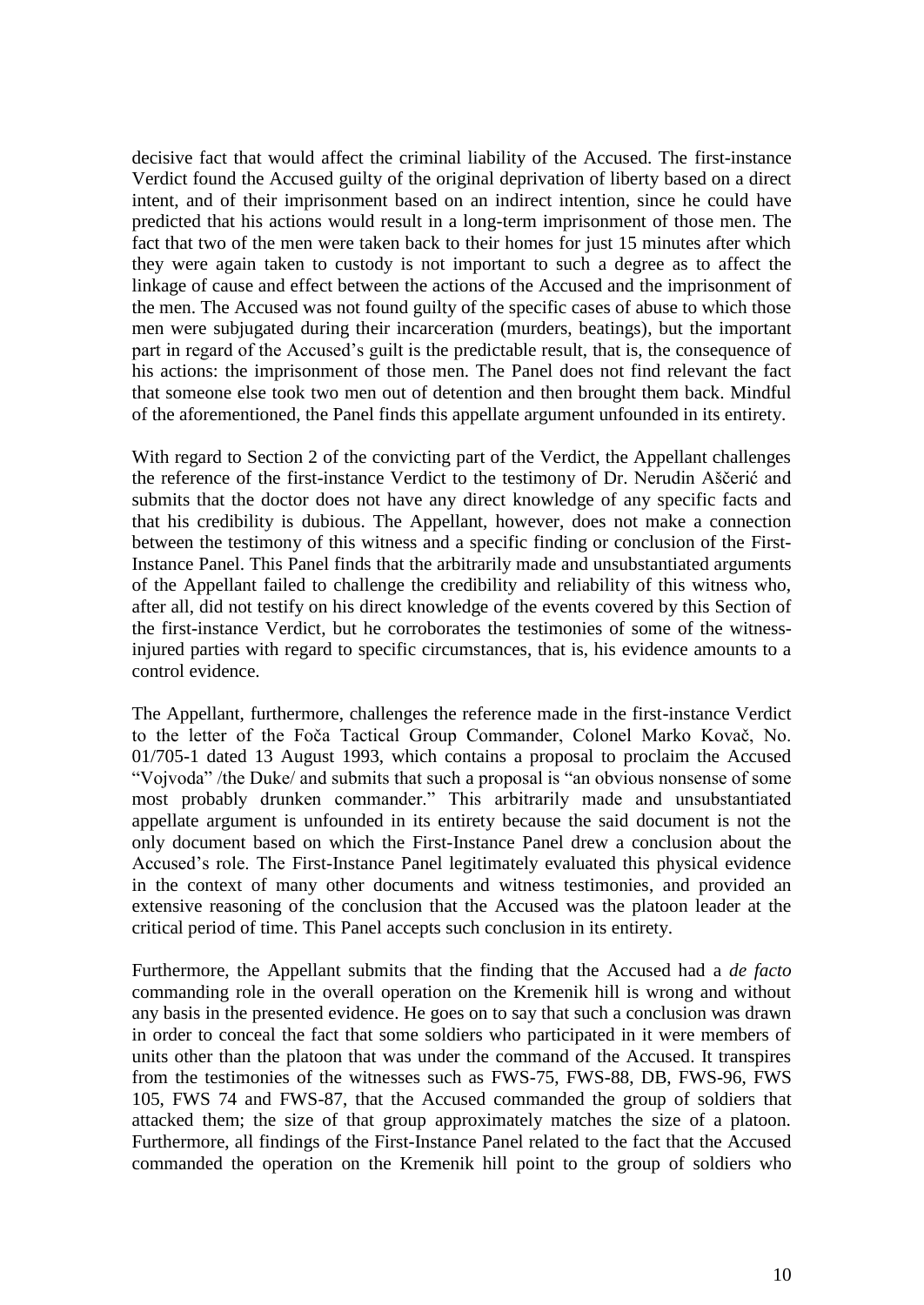decisive fact that would affect the criminal liability of the Accused. The first-instance Verdict found the Accused guilty of the original deprivation of liberty based on a direct intent, and of their imprisonment based on an indirect intention, since he could have predicted that his actions would result in a long-term imprisonment of those men. The fact that two of the men were taken back to their homes for just 15 minutes after which they were again taken to custody is not important to such a degree as to affect the linkage of cause and effect between the actions of the Accused and the imprisonment of the men. The Accused was not found guilty of the specific cases of abuse to which those men were subjugated during their incarceration (murders, beatings), but the important part in regard of the Accused's guilt is the predictable result, that is, the consequence of his actions: the imprisonment of those men. The Panel does not find relevant the fact that someone else took two men out of detention and then brought them back. Mindful of the aforementioned, the Panel finds this appellate argument unfounded in its entirety.

With regard to Section 2 of the convicting part of the Verdict, the Appellant challenges the reference of the first-instance Verdict to the testimony of Dr. Nerudin Aščerić and submits that the doctor does not have any direct knowledge of any specific facts and that his credibility is dubious. The Appellant, however, does not make a connection between the testimony of this witness and a specific finding or conclusion of the First-Instance Panel. This Panel finds that the arbitrarily made and unsubstantiated arguments of the Appellant failed to challenge the credibility and reliability of this witness who, after all, did not testify on his direct knowledge of the events covered by this Section of the first-instance Verdict, but he corroborates the testimonies of some of the witnessinjured parties with regard to specific circumstances, that is, his evidence amounts to a control evidence.

The Appellant, furthermore, challenges the reference made in the first-instance Verdict to the letter of the Foča Tactical Group Commander, Colonel Marko Kovač, No. 01/705-1 dated 13 August 1993, which contains a proposal to proclaim the Accused "Vojvoda" /the Duke/ and submits that such a proposal is "an obvious nonsense of some most probably drunken commander." This arbitrarily made and unsubstantiated appellate argument is unfounded in its entirety because the said document is not the only document based on which the First-Instance Panel drew a conclusion about the Accused's role. The First-Instance Panel legitimately evaluated this physical evidence in the context of many other documents and witness testimonies, and provided an extensive reasoning of the conclusion that the Accused was the platoon leader at the critical period of time. This Panel accepts such conclusion in its entirety.

Furthermore, the Appellant submits that the finding that the Accused had a *de facto* commanding role in the overall operation on the Kremenik hill is wrong and without any basis in the presented evidence. He goes on to say that such a conclusion was drawn in order to conceal the fact that some soldiers who participated in it were members of units other than the platoon that was under the command of the Accused. It transpires from the testimonies of the witnesses such as FWS-75, FWS-88, DB, FWS-96, FWS 105, FWS 74 and FWS-87, that the Accused commanded the group of soldiers that attacked them; the size of that group approximately matches the size of a platoon. Furthermore, all findings of the First-Instance Panel related to the fact that the Accused commanded the operation on the Kremenik hill point to the group of soldiers who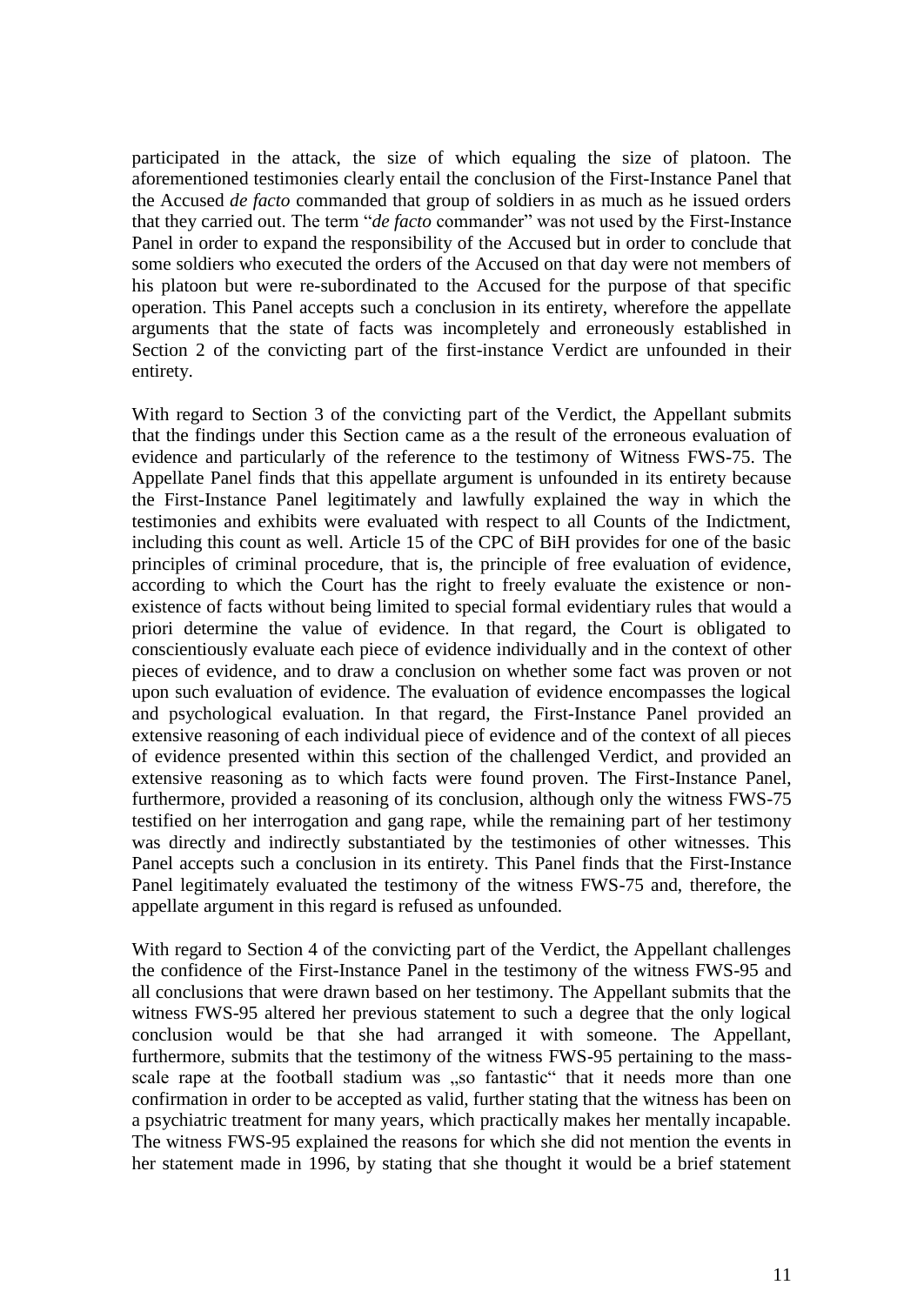participated in the attack, the size of which equaling the size of platoon. The aforementioned testimonies clearly entail the conclusion of the First-Instance Panel that the Accused *de facto* commanded that group of soldiers in as much as he issued orders that they carried out. The term "*de facto* commander" was not used by the First-Instance Panel in order to expand the responsibility of the Accused but in order to conclude that some soldiers who executed the orders of the Accused on that day were not members of his platoon but were re-subordinated to the Accused for the purpose of that specific operation. This Panel accepts such a conclusion in its entirety, wherefore the appellate arguments that the state of facts was incompletely and erroneously established in Section 2 of the convicting part of the first-instance Verdict are unfounded in their entirety.

With regard to Section 3 of the convicting part of the Verdict, the Appellant submits that the findings under this Section came as a the result of the erroneous evaluation of evidence and particularly of the reference to the testimony of Witness FWS-75. The Appellate Panel finds that this appellate argument is unfounded in its entirety because the First-Instance Panel legitimately and lawfully explained the way in which the testimonies and exhibits were evaluated with respect to all Counts of the Indictment, including this count as well. Article 15 of the CPC of BiH provides for one of the basic principles of criminal procedure, that is, the principle of free evaluation of evidence, according to which the Court has the right to freely evaluate the existence or nonexistence of facts without being limited to special formal evidentiary rules that would a priori determine the value of evidence. In that regard, the Court is obligated to conscientiously evaluate each piece of evidence individually and in the context of other pieces of evidence, and to draw a conclusion on whether some fact was proven or not upon such evaluation of evidence. The evaluation of evidence encompasses the logical and psychological evaluation. In that regard, the First-Instance Panel provided an extensive reasoning of each individual piece of evidence and of the context of all pieces of evidence presented within this section of the challenged Verdict, and provided an extensive reasoning as to which facts were found proven. The First-Instance Panel, furthermore, provided a reasoning of its conclusion, although only the witness FWS-75 testified on her interrogation and gang rape, while the remaining part of her testimony was directly and indirectly substantiated by the testimonies of other witnesses. This Panel accepts such a conclusion in its entirety. This Panel finds that the First-Instance Panel legitimately evaluated the testimony of the witness FWS-75 and, therefore, the appellate argument in this regard is refused as unfounded.

With regard to Section 4 of the convicting part of the Verdict, the Appellant challenges the confidence of the First-Instance Panel in the testimony of the witness FWS-95 and all conclusions that were drawn based on her testimony. The Appellant submits that the witness FWS-95 altered her previous statement to such a degree that the only logical conclusion would be that she had arranged it with someone. The Appellant, furthermore, submits that the testimony of the witness FWS-95 pertaining to the massscale rape at the football stadium was "so fantastic" that it needs more than one confirmation in order to be accepted as valid, further stating that the witness has been on a psychiatric treatment for many years, which practically makes her mentally incapable. The witness FWS-95 explained the reasons for which she did not mention the events in her statement made in 1996, by stating that she thought it would be a brief statement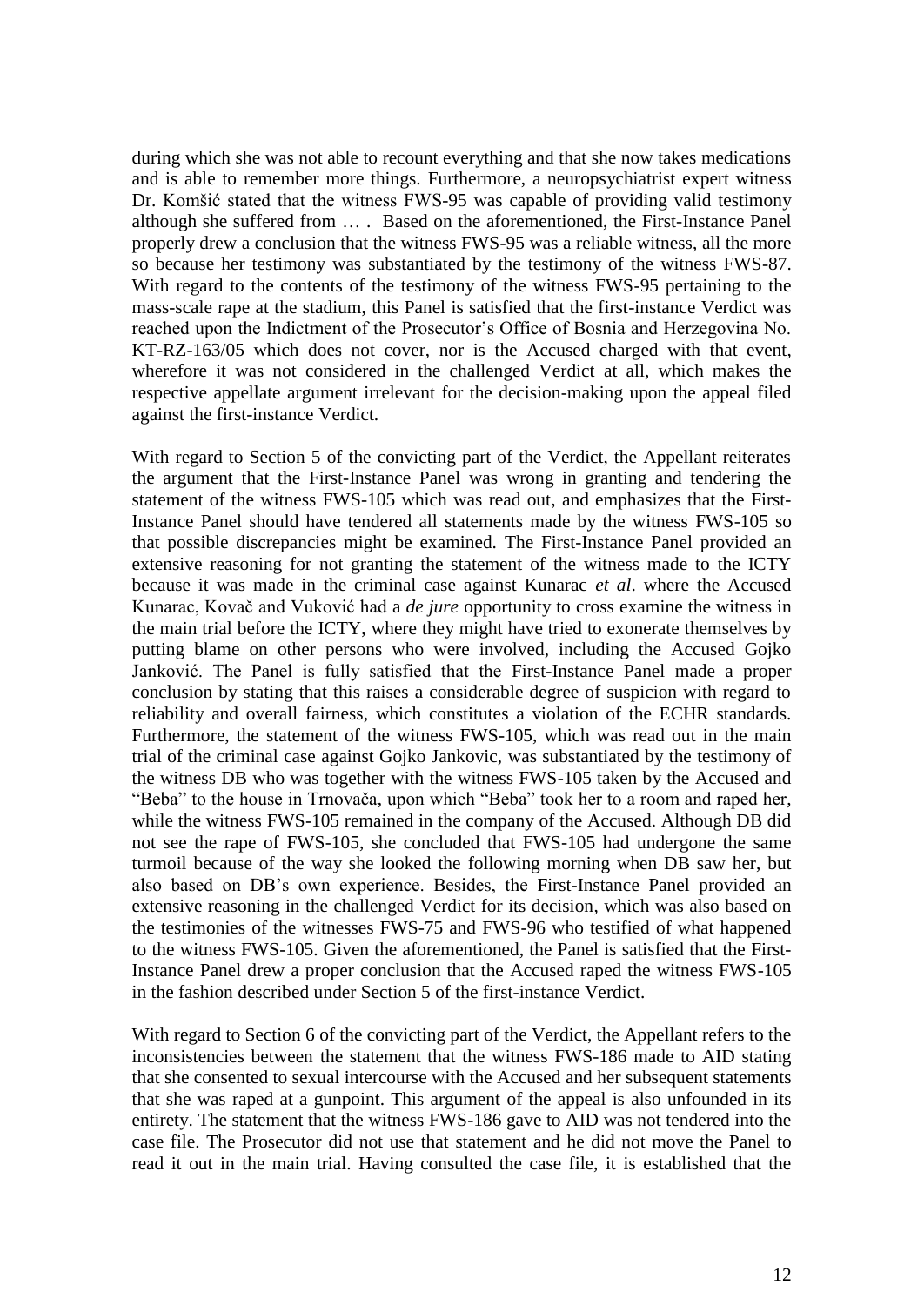during which she was not able to recount everything and that she now takes medications and is able to remember more things. Furthermore, a neuropsychiatrist expert witness Dr. Komšić stated that the witness FWS-95 was capable of providing valid testimony although she suffered from … . Based on the aforementioned, the First-Instance Panel properly drew a conclusion that the witness FWS-95 was a reliable witness, all the more so because her testimony was substantiated by the testimony of the witness FWS-87. With regard to the contents of the testimony of the witness FWS-95 pertaining to the mass-scale rape at the stadium, this Panel is satisfied that the first-instance Verdict was reached upon the Indictment of the Prosecutor's Office of Bosnia and Herzegovina No. KT-RZ-163/05 which does not cover, nor is the Accused charged with that event, wherefore it was not considered in the challenged Verdict at all, which makes the respective appellate argument irrelevant for the decision-making upon the appeal filed against the first-instance Verdict.

With regard to Section 5 of the convicting part of the Verdict, the Appellant reiterates the argument that the First-Instance Panel was wrong in granting and tendering the statement of the witness FWS-105 which was read out, and emphasizes that the First-Instance Panel should have tendered all statements made by the witness FWS-105 so that possible discrepancies might be examined. The First-Instance Panel provided an extensive reasoning for not granting the statement of the witness made to the ICTY because it was made in the criminal case against Kunarac *et al*. where the Accused Kunarac, Kovač and Vuković had a *de jure* opportunity to cross examine the witness in the main trial before the ICTY, where they might have tried to exonerate themselves by putting blame on other persons who were involved, including the Accused Gojko Janković. The Panel is fully satisfied that the First-Instance Panel made a proper conclusion by stating that this raises a considerable degree of suspicion with regard to reliability and overall fairness, which constitutes a violation of the ECHR standards. Furthermore, the statement of the witness FWS-105, which was read out in the main trial of the criminal case against Gojko Jankovic, was substantiated by the testimony of the witness DB who was together with the witness FWS-105 taken by the Accused and "Beba" to the house in Trnovača, upon which "Beba" took her to a room and raped her, while the witness FWS-105 remained in the company of the Accused. Although DB did not see the rape of FWS-105, she concluded that FWS-105 had undergone the same turmoil because of the way she looked the following morning when DB saw her, but also based on DB's own experience. Besides, the First-Instance Panel provided an extensive reasoning in the challenged Verdict for its decision, which was also based on the testimonies of the witnesses FWS-75 and FWS-96 who testified of what happened to the witness FWS-105. Given the aforementioned, the Panel is satisfied that the First-Instance Panel drew a proper conclusion that the Accused raped the witness FWS-105 in the fashion described under Section 5 of the first-instance Verdict.

With regard to Section 6 of the convicting part of the Verdict, the Appellant refers to the inconsistencies between the statement that the witness FWS-186 made to AID stating that she consented to sexual intercourse with the Accused and her subsequent statements that she was raped at a gunpoint. This argument of the appeal is also unfounded in its entirety. The statement that the witness FWS-186 gave to AID was not tendered into the case file. The Prosecutor did not use that statement and he did not move the Panel to read it out in the main trial. Having consulted the case file, it is established that the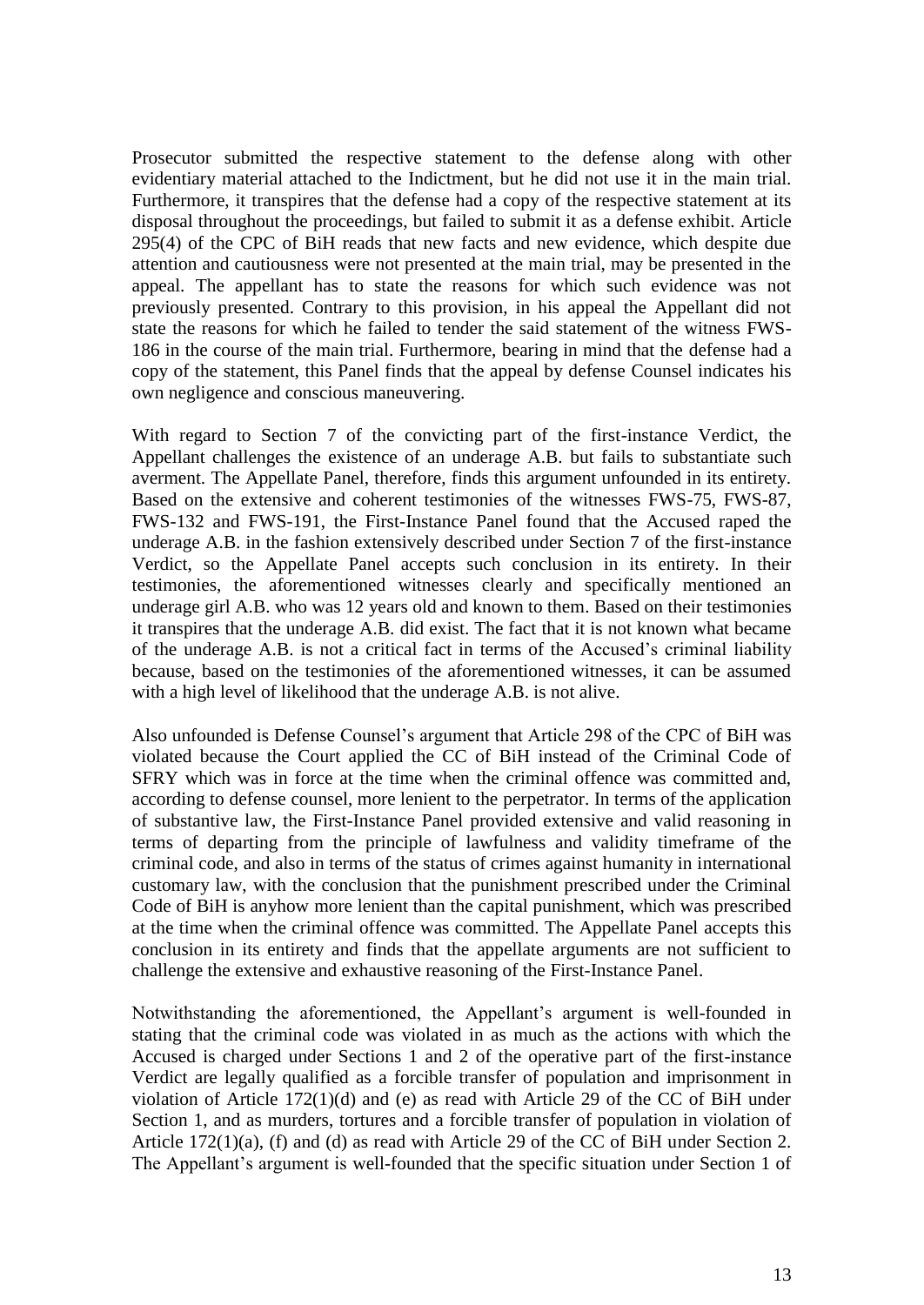Prosecutor submitted the respective statement to the defense along with other evidentiary material attached to the Indictment, but he did not use it in the main trial. Furthermore, it transpires that the defense had a copy of the respective statement at its disposal throughout the proceedings, but failed to submit it as a defense exhibit. Article 295(4) of the CPC of BiH reads that new facts and new evidence, which despite due attention and cautiousness were not presented at the main trial, may be presented in the appeal. The appellant has to state the reasons for which such evidence was not previously presented. Contrary to this provision, in his appeal the Appellant did not state the reasons for which he failed to tender the said statement of the witness FWS-186 in the course of the main trial. Furthermore, bearing in mind that the defense had a copy of the statement, this Panel finds that the appeal by defense Counsel indicates his own negligence and conscious maneuvering.

With regard to Section 7 of the convicting part of the first-instance Verdict, the Appellant challenges the existence of an underage A.B. but fails to substantiate such averment. The Appellate Panel, therefore, finds this argument unfounded in its entirety. Based on the extensive and coherent testimonies of the witnesses FWS-75, FWS-87, FWS-132 and FWS-191, the First-Instance Panel found that the Accused raped the underage A.B. in the fashion extensively described under Section 7 of the first-instance Verdict, so the Appellate Panel accepts such conclusion in its entirety. In their testimonies, the aforementioned witnesses clearly and specifically mentioned an underage girl A.B. who was 12 years old and known to them. Based on their testimonies it transpires that the underage A.B. did exist. The fact that it is not known what became of the underage A.B. is not a critical fact in terms of the Accused's criminal liability because, based on the testimonies of the aforementioned witnesses, it can be assumed with a high level of likelihood that the underage A.B. is not alive.

Also unfounded is Defense Counsel's argument that Article 298 of the CPC of BiH was violated because the Court applied the CC of BiH instead of the Criminal Code of SFRY which was in force at the time when the criminal offence was committed and, according to defense counsel, more lenient to the perpetrator. In terms of the application of substantive law, the First-Instance Panel provided extensive and valid reasoning in terms of departing from the principle of lawfulness and validity timeframe of the criminal code, and also in terms of the status of crimes against humanity in international customary law, with the conclusion that the punishment prescribed under the Criminal Code of BiH is anyhow more lenient than the capital punishment, which was prescribed at the time when the criminal offence was committed. The Appellate Panel accepts this conclusion in its entirety and finds that the appellate arguments are not sufficient to challenge the extensive and exhaustive reasoning of the First-Instance Panel.

Notwithstanding the aforementioned, the Appellant's argument is well-founded in stating that the criminal code was violated in as much as the actions with which the Accused is charged under Sections 1 and 2 of the operative part of the first-instance Verdict are legally qualified as a forcible transfer of population and imprisonment in violation of Article 172(1)(d) and (e) as read with Article 29 of the CC of BiH under Section 1, and as murders, tortures and a forcible transfer of population in violation of Article 172(1)(a), (f) and (d) as read with Article 29 of the CC of BiH under Section 2. The Appellant's argument is well-founded that the specific situation under Section 1 of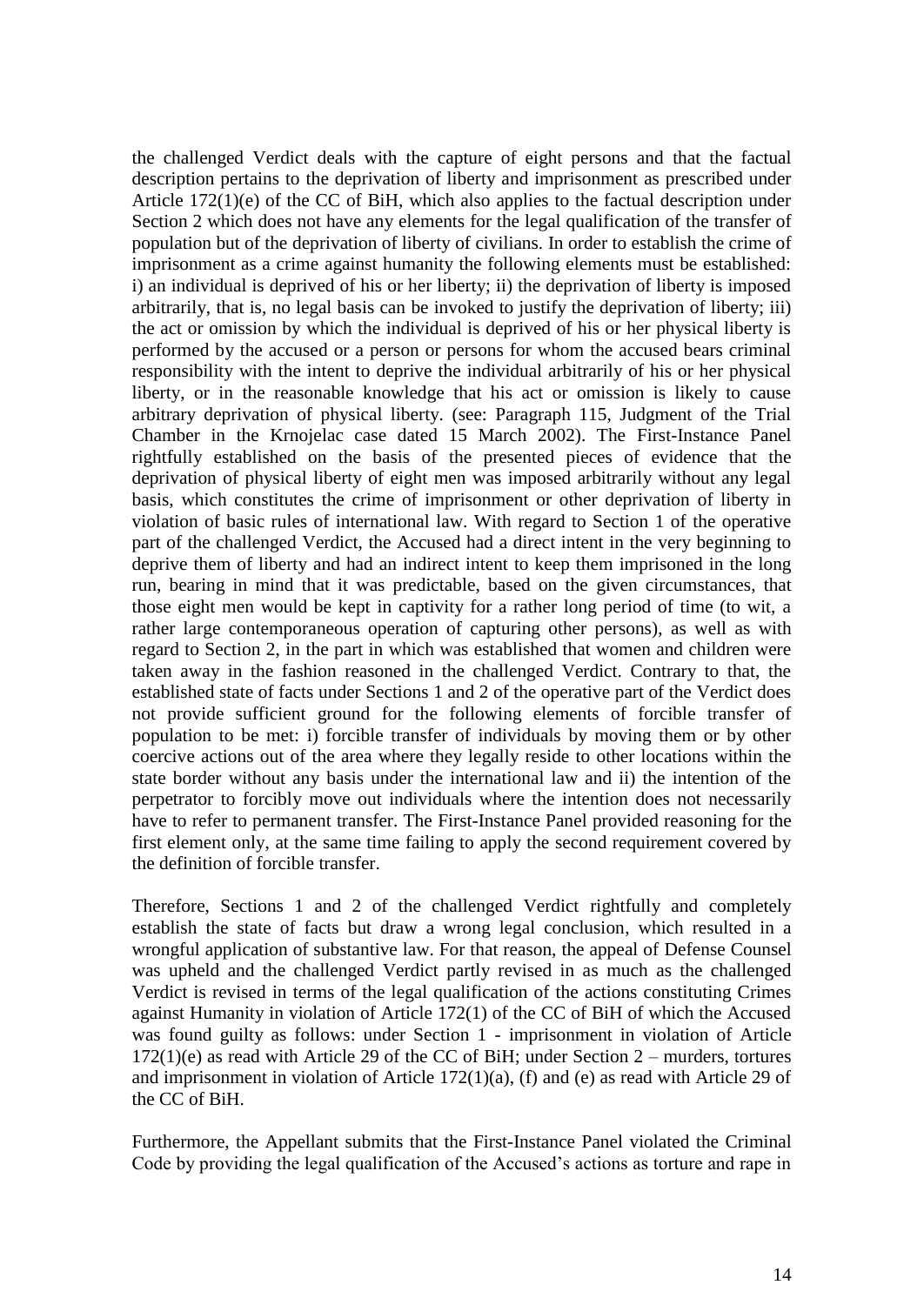the challenged Verdict deals with the capture of eight persons and that the factual description pertains to the deprivation of liberty and imprisonment as prescribed under Article 172(1)(e) of the CC of BiH, which also applies to the factual description under Section 2 which does not have any elements for the legal qualification of the transfer of population but of the deprivation of liberty of civilians. In order to establish the crime of imprisonment as a crime against humanity the following elements must be established: i) an individual is deprived of his or her liberty; ii) the deprivation of liberty is imposed arbitrarily, that is, no legal basis can be invoked to justify the deprivation of liberty; iii) the act or omission by which the individual is deprived of his or her physical liberty is performed by the accused or a person or persons for whom the accused bears criminal responsibility with the intent to deprive the individual arbitrarily of his or her physical liberty, or in the reasonable knowledge that his act or omission is likely to cause arbitrary deprivation of physical liberty. (see: Paragraph 115, Judgment of the Trial Chamber in the Krnojelac case dated 15 March 2002). The First-Instance Panel rightfully established on the basis of the presented pieces of evidence that the deprivation of physical liberty of eight men was imposed arbitrarily without any legal basis, which constitutes the crime of imprisonment or other deprivation of liberty in violation of basic rules of international law. With regard to Section 1 of the operative part of the challenged Verdict, the Accused had a direct intent in the very beginning to deprive them of liberty and had an indirect intent to keep them imprisoned in the long run, bearing in mind that it was predictable, based on the given circumstances, that those eight men would be kept in captivity for a rather long period of time (to wit, a rather large contemporaneous operation of capturing other persons), as well as with regard to Section 2, in the part in which was established that women and children were taken away in the fashion reasoned in the challenged Verdict. Contrary to that, the established state of facts under Sections 1 and 2 of the operative part of the Verdict does not provide sufficient ground for the following elements of forcible transfer of population to be met: i) forcible transfer of individuals by moving them or by other coercive actions out of the area where they legally reside to other locations within the state border without any basis under the international law and ii) the intention of the perpetrator to forcibly move out individuals where the intention does not necessarily have to refer to permanent transfer. The First-Instance Panel provided reasoning for the first element only, at the same time failing to apply the second requirement covered by the definition of forcible transfer.

Therefore, Sections 1 and 2 of the challenged Verdict rightfully and completely establish the state of facts but draw a wrong legal conclusion, which resulted in a wrongful application of substantive law. For that reason, the appeal of Defense Counsel was upheld and the challenged Verdict partly revised in as much as the challenged Verdict is revised in terms of the legal qualification of the actions constituting Crimes against Humanity in violation of Article 172(1) of the CC of BiH of which the Accused was found guilty as follows: under Section 1 - imprisonment in violation of Article  $172(1)(e)$  as read with Article 29 of the CC of BiH; under Section 2 – murders, tortures and imprisonment in violation of Article 172(1)(a), (f) and (e) as read with Article 29 of the CC of BiH.

Furthermore, the Appellant submits that the First-Instance Panel violated the Criminal Code by providing the legal qualification of the Accused's actions as torture and rape in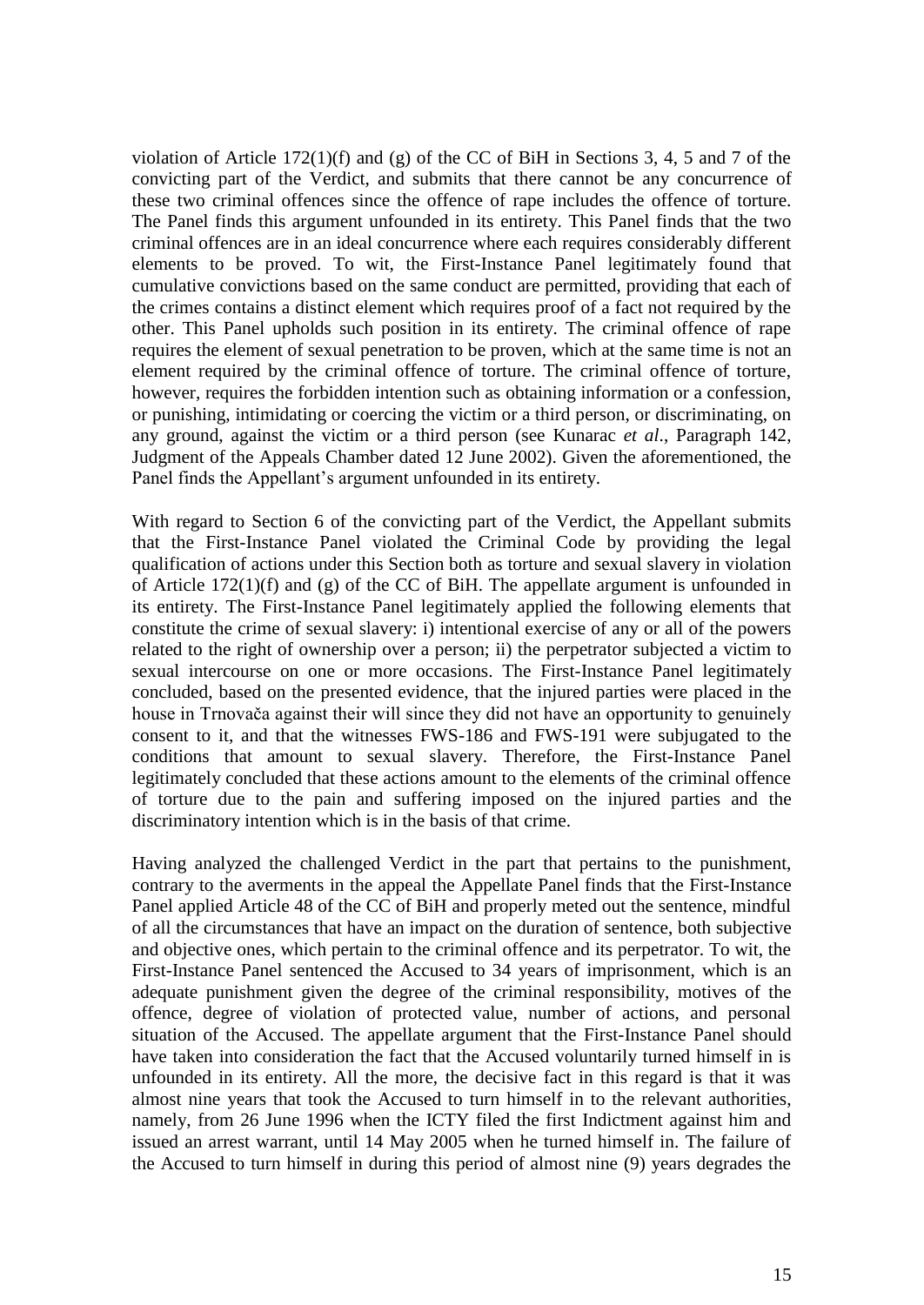violation of Article  $172(1)(f)$  and (g) of the CC of BiH in Sections 3, 4, 5 and 7 of the convicting part of the Verdict, and submits that there cannot be any concurrence of these two criminal offences since the offence of rape includes the offence of torture. The Panel finds this argument unfounded in its entirety. This Panel finds that the two criminal offences are in an ideal concurrence where each requires considerably different elements to be proved. To wit, the First-Instance Panel legitimately found that cumulative convictions based on the same conduct are permitted, providing that each of the crimes contains a distinct element which requires proof of a fact not required by the other. This Panel upholds such position in its entirety. The criminal offence of rape requires the element of sexual penetration to be proven, which at the same time is not an element required by the criminal offence of torture. The criminal offence of torture, however, requires the forbidden intention such as obtaining information or a confession, or punishing, intimidating or coercing the victim or a third person, or discriminating, on any ground, against the victim or a third person (see Kunarac *et al*., Paragraph 142, Judgment of the Appeals Chamber dated 12 June 2002). Given the aforementioned, the Panel finds the Appellant's argument unfounded in its entirety.

With regard to Section 6 of the convicting part of the Verdict, the Appellant submits that the First-Instance Panel violated the Criminal Code by providing the legal qualification of actions under this Section both as torture and sexual slavery in violation of Article 172(1)(f) and (g) of the CC of BiH. The appellate argument is unfounded in its entirety. The First-Instance Panel legitimately applied the following elements that constitute the crime of sexual slavery: i) intentional exercise of any or all of the powers related to the right of ownership over a person; ii) the perpetrator subjected a victim to sexual intercourse on one or more occasions. The First-Instance Panel legitimately concluded, based on the presented evidence, that the injured parties were placed in the house in Trnovača against their will since they did not have an opportunity to genuinely consent to it, and that the witnesses FWS-186 and FWS-191 were subjugated to the conditions that amount to sexual slavery. Therefore, the First-Instance Panel legitimately concluded that these actions amount to the elements of the criminal offence of torture due to the pain and suffering imposed on the injured parties and the discriminatory intention which is in the basis of that crime.

Having analyzed the challenged Verdict in the part that pertains to the punishment, contrary to the averments in the appeal the Appellate Panel finds that the First-Instance Panel applied Article 48 of the CC of BiH and properly meted out the sentence, mindful of all the circumstances that have an impact on the duration of sentence, both subjective and objective ones, which pertain to the criminal offence and its perpetrator. To wit, the First-Instance Panel sentenced the Accused to 34 years of imprisonment, which is an adequate punishment given the degree of the criminal responsibility, motives of the offence, degree of violation of protected value, number of actions, and personal situation of the Accused. The appellate argument that the First-Instance Panel should have taken into consideration the fact that the Accused voluntarily turned himself in is unfounded in its entirety. All the more, the decisive fact in this regard is that it was almost nine years that took the Accused to turn himself in to the relevant authorities, namely, from 26 June 1996 when the ICTY filed the first Indictment against him and issued an arrest warrant, until 14 May 2005 when he turned himself in. The failure of the Accused to turn himself in during this period of almost nine (9) years degrades the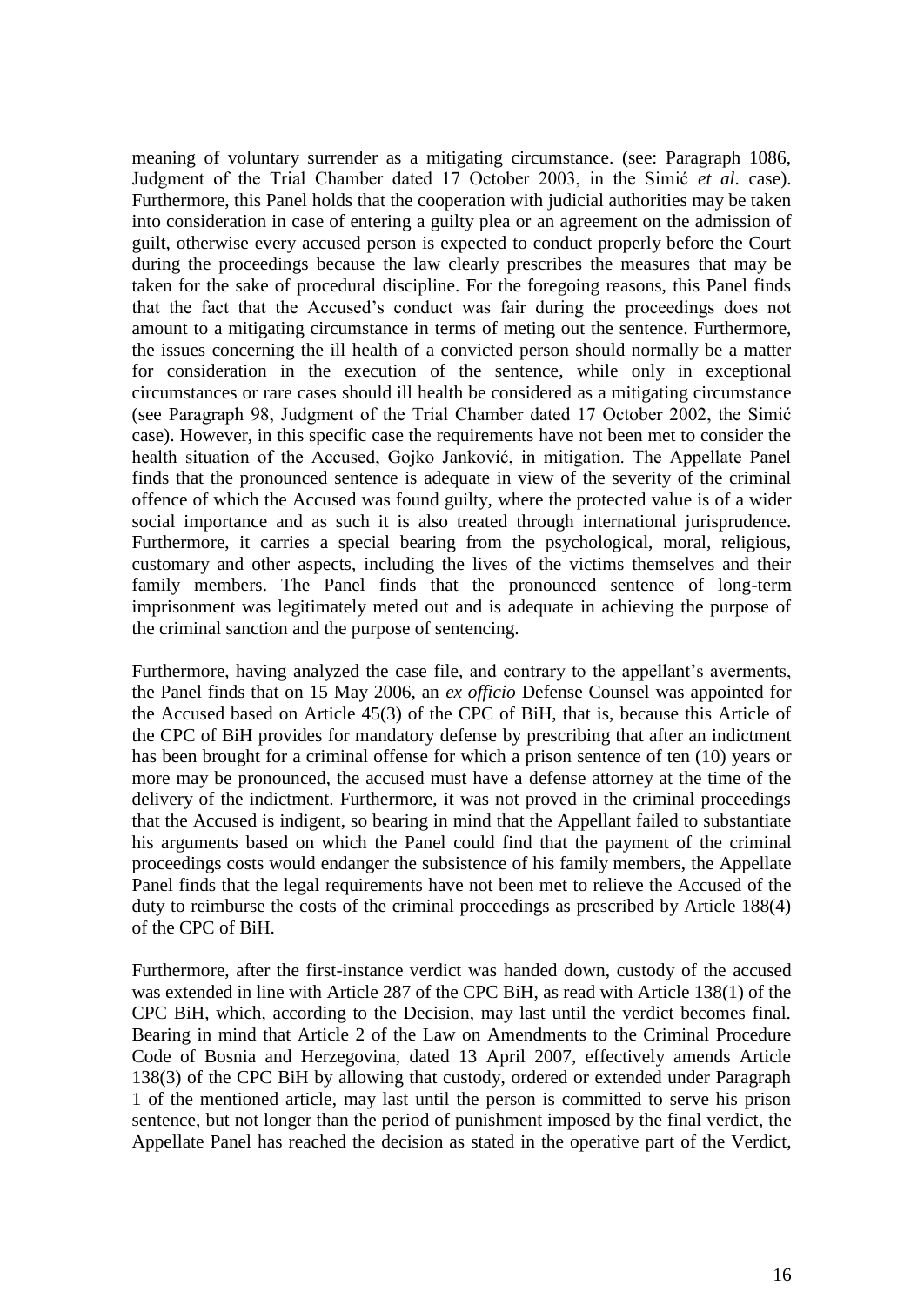meaning of voluntary surrender as a mitigating circumstance. (see: Paragraph 1086, Judgment of the Trial Chamber dated 17 October 2003, in the Simić *et al*. case). Furthermore, this Panel holds that the cooperation with judicial authorities may be taken into consideration in case of entering a guilty plea or an agreement on the admission of guilt, otherwise every accused person is expected to conduct properly before the Court during the proceedings because the law clearly prescribes the measures that may be taken for the sake of procedural discipline. For the foregoing reasons, this Panel finds that the fact that the Accused's conduct was fair during the proceedings does not amount to a mitigating circumstance in terms of meting out the sentence. Furthermore, the issues concerning the ill health of a convicted person should normally be a matter for consideration in the execution of the sentence, while only in exceptional circumstances or rare cases should ill health be considered as a mitigating circumstance (see Paragraph 98, Judgment of the Trial Chamber dated 17 October 2002, the Simić case). However, in this specific case the requirements have not been met to consider the health situation of the Accused, Gojko Janković, in mitigation. The Appellate Panel finds that the pronounced sentence is adequate in view of the severity of the criminal offence of which the Accused was found guilty, where the protected value is of a wider social importance and as such it is also treated through international jurisprudence. Furthermore, it carries a special bearing from the psychological, moral, religious, customary and other aspects, including the lives of the victims themselves and their family members. The Panel finds that the pronounced sentence of long-term imprisonment was legitimately meted out and is adequate in achieving the purpose of the criminal sanction and the purpose of sentencing.

Furthermore, having analyzed the case file, and contrary to the appellant's averments, the Panel finds that on 15 May 2006, an *ex officio* Defense Counsel was appointed for the Accused based on Article 45(3) of the CPC of BiH, that is, because this Article of the CPC of BiH provides for mandatory defense by prescribing that after an indictment has been brought for a criminal offense for which a prison sentence of ten (10) years or more may be pronounced, the accused must have a defense attorney at the time of the delivery of the indictment. Furthermore, it was not proved in the criminal proceedings that the Accused is indigent, so bearing in mind that the Appellant failed to substantiate his arguments based on which the Panel could find that the payment of the criminal proceedings costs would endanger the subsistence of his family members, the Appellate Panel finds that the legal requirements have not been met to relieve the Accused of the duty to reimburse the costs of the criminal proceedings as prescribed by Article 188(4) of the CPC of BiH.

Furthermore, after the first-instance verdict was handed down, custody of the accused was extended in line with Article 287 of the CPC BiH, as read with Article 138(1) of the CPC BiH, which, according to the Decision, may last until the verdict becomes final. Bearing in mind that Article 2 of the Law on Amendments to the Criminal Procedure Code of Bosnia and Herzegovina, dated 13 April 2007, effectively amends Article 138(3) of the CPC BiH by allowing that custody, ordered or extended under Paragraph 1 of the mentioned article, may last until the person is committed to serve his prison sentence, but not longer than the period of punishment imposed by the final verdict, the Appellate Panel has reached the decision as stated in the operative part of the Verdict,